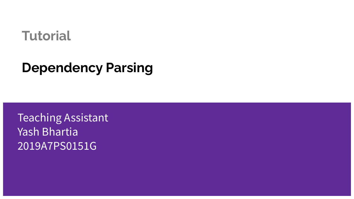#### **Tutorial**

### **Dependency Parsing**

Teaching Assistant Yash Bhartia 2019A7PS0151G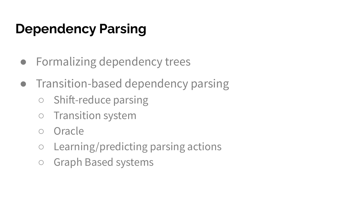## **Dependency Parsing**

- Formalizing dependency trees
- Transition-based dependency parsing
	- Shift-reduce parsing
	- Transition system
	- Oracle
	- Learning/predicting parsing actions
	- Graph Based systems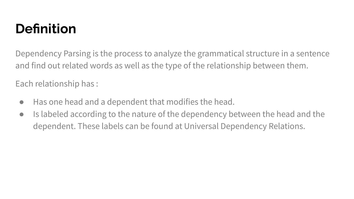# **Definition**

Dependency Parsing is the process to analyze the grammatical structure in a sentence and find out related words as well as the type of the relationship between them.

Each relationship has :

- Has one head and a dependent that modifies the head.
- Is labeled according to the nature of the dependency between the head and the dependent. These labels can be found at Universal Dependency Relations.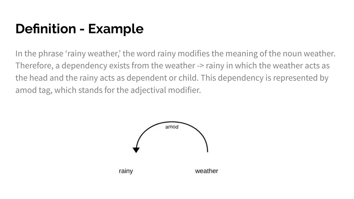## **Definition - Example**

In the phrase 'rainy weather,' the word rainy modifies the meaning of the noun weather. Therefore, a dependency exists from the weather -> rainy in which the weather acts as the head and the rainy acts as dependent or child. This dependency is represented by amod tag, which stands for the adjectival modifier.

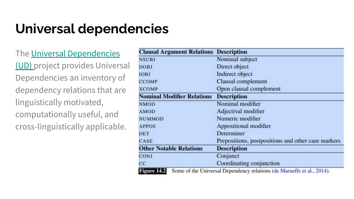### **Universal dependencies**

#### The [Universal Dependencies](https://universaldependencies.org/u/dep/)

[\(UD\)](https://universaldependencies.org/u/dep/) project provides Universal Dependencies an inventory of dependency relations that are linguistically motivated, computationally useful, and cross-linguistically applicable.

| <b>Clausal Argument Relations</b> | <b>Description</b>                                                     |  |  |
|-----------------------------------|------------------------------------------------------------------------|--|--|
| <b>NSUBJ</b>                      | Nominal subject                                                        |  |  |
| <b>DOBJ</b>                       | Direct object                                                          |  |  |
| <b>IOBJ</b>                       | <b>Indirect object</b>                                                 |  |  |
| <b>CCOMP</b>                      | Clausal complement                                                     |  |  |
| <b>XCOMP</b>                      | Open clausal complement                                                |  |  |
| <b>Nominal Modifier Relations</b> | <b>Description</b>                                                     |  |  |
| <b>NMOD</b>                       | Nominal modifier                                                       |  |  |
| <b>AMOD</b>                       | Adjectival modifier                                                    |  |  |
| <b>NUMMOD</b>                     | Numeric modifier                                                       |  |  |
| <b>APPOS</b>                      | Appositional modifier                                                  |  |  |
| <b>DET</b>                        | Determiner                                                             |  |  |
| <b>CASE</b>                       | Prepositions, postpositions and other case markers                     |  |  |
| <b>Other Notable Relations</b>    | <b>Description</b>                                                     |  |  |
| <b>CONJ</b>                       | Conjunct                                                               |  |  |
| CC                                | Coordinating conjunction                                               |  |  |
| Figure 14.2                       | Some of the Universal Dependency relations (de Marneffe et al., 2014). |  |  |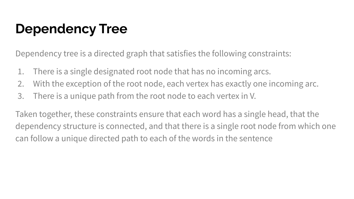### **Dependency Tree**

Dependency tree is a directed graph that satisfies the following constraints:

- 1. There is a single designated root node that has no incoming arcs.
- 2. With the exception of the root node, each vertex has exactly one incoming arc.
- 3. There is a unique path from the root node to each vertex in V.

Taken together, these constraints ensure that each word has a single head, that the dependency structure is connected, and that there is a single root node from which one can follow a unique directed path to each of the words in the sentence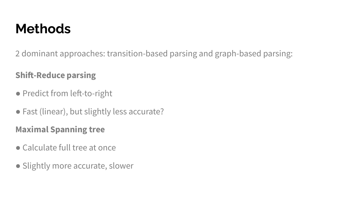### **Methods**

2 dominant approaches: transition-based parsing and graph-based parsing:

#### **Shift-Reduce parsing**

- Predict from left-to-right
- Fast (linear), but slightly less accurate?

#### **Maximal Spanning tree**

- Calculate full tree at once
- Slightly more accurate, slower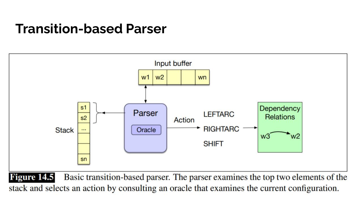#### **Transition-based Parser**



stack and selects an action by consulting an oracle that examines the current configuration.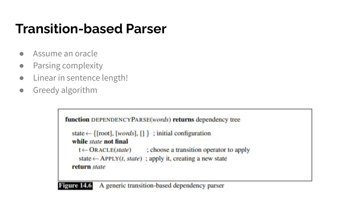### **Transition-based Parser**

- Assume an oracle
- Parsing complexity
- Linear in sentence length!
- Greedy algorithm

```
function DEPENDENCYPARSE(words) returns dependency tree
state \leftarrow {[root], [words], [] }; initial configuration
while state not final
   t \leftarrow ORACLE(state); choose a transition operator to apply
   state \leftarrow APPLY(t, state); apply it, creating a new state
return state
```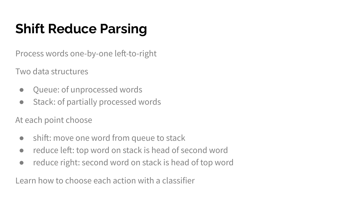# **Shift Reduce Parsing**

Process words one-by-one left-to-right

Two data structures

- Queue: of unprocessed words
- Stack: of partially processed words

At each point choose

- shift: move one word from queue to stack
- reduce left: top word on stack is head of second word
- reduce right: second word on stack is head of top word

Learn how to choose each action with a classifier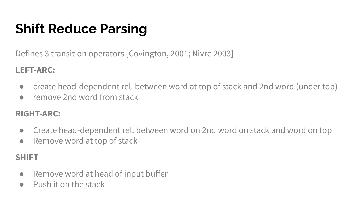# **Shift Reduce Parsing**

Defines 3 transition operators [Covington, 2001; Nivre 2003]

#### **LEFT-ARC:**

- create head-dependent rel. between word at top of stack and 2nd word (under top)
- remove 2nd word from stack

#### **RIGHT-ARC:**

- Create head-dependent rel. between word on 2nd word on stack and word on top
- Remove word at top of stack

#### **SHIFT**

- Remove word at head of input buffer
- Push it on the stack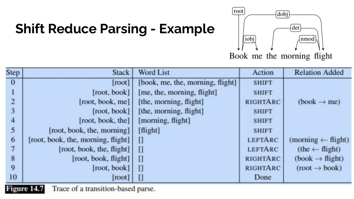# **Shift Reduce Parsing - Example**



Book me the morning flight

| Step           | <b>Stack</b>                       | <b>Word List</b>                 | Action          | <b>Relation Added</b>         |
|----------------|------------------------------------|----------------------------------|-----------------|-------------------------------|
| $\mathbf{0}$   | [root]                             | [book, me, the, morning, flight] | <b>SHIFT</b>    |                               |
|                | [root, book]                       | [me, the, morning, flight]       | <b>SHIFT</b>    |                               |
| $\overline{2}$ | [root, book, me]                   | [the, morning, flight]           | <b>RIGHTARC</b> | $(book \rightarrow me)$       |
| 3              | [root, book]                       | [the, morning, flight]           | <b>SHIFT</b>    |                               |
| 4              | [root, book, the]                  | [morning, flight]                | <b>SHIFT</b>    |                               |
| 5              | [root, book, the, morning]         | [flight]                         | <b>SHIFT</b>    |                               |
| 6              | [root, book, the, morning, flight] | П                                | <b>LEFTARC</b>  | $(morming \leftarrow flight)$ |
| 7              | [root, book, the, flight]          | 0                                | <b>LEFTARC</b>  | $(the \leftarrow flight)$     |
| 8              | [root, book, flight]               | O                                | RIGHTARC        | $(book \rightarrow flight)$   |
| 9              | [root, book]                       | U                                | <b>RIGHTARC</b> | $(root \rightarrow book)$     |
| 10             | [root]                             | U                                | Done            |                               |

Trace of a transition-based parse. ю eure 14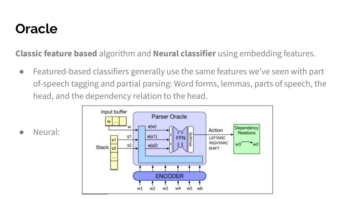### **Oracle**

**Classic feature based** algorithm and **Neural classifier** using embedding features.

• Featured-based classifiers generally use the same features we've seen with part of-speech tagging and partial parsing: Word forms, lemmas, parts of speech, the head, and the dependency relation to the head.



Neural: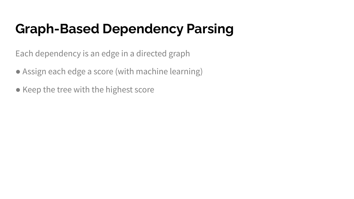## **Graph-Based Dependency Parsing**

Each dependency is an edge in a directed graph

- Assign each edge a score (with machine learning)
- Keep the tree with the highest score